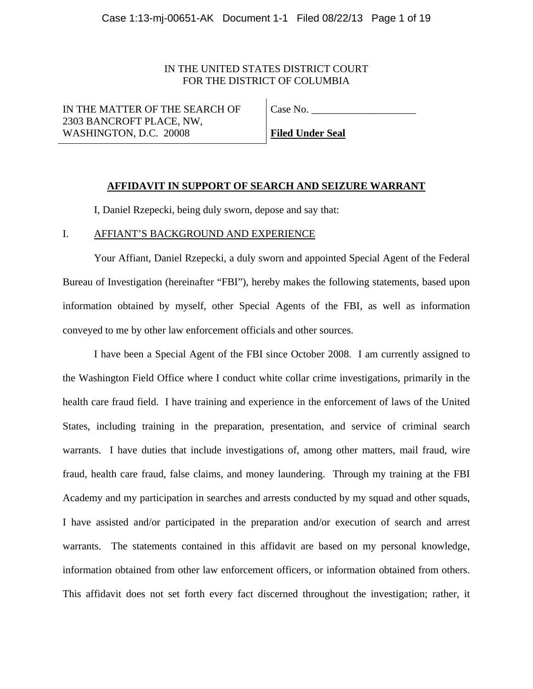# IN THE UNITED STATES DISTRICT COURT FOR THE DISTRICT OF COLUMBIA

IN THE MATTER OF THE SEARCH OF 2303 BANCROFT PLACE, NW, WASHINGTON, D.C. 20008

Case No.

**Filed Under Seal** 

# **AFFIDAVIT IN SUPPORT OF SEARCH AND SEIZURE WARRANT**

I, Daniel Rzepecki, being duly sworn, depose and say that:

## I. AFFIANT'S BACKGROUND AND EXPERIENCE

 Your Affiant, Daniel Rzepecki, a duly sworn and appointed Special Agent of the Federal Bureau of Investigation (hereinafter "FBI"), hereby makes the following statements, based upon information obtained by myself, other Special Agents of the FBI, as well as information conveyed to me by other law enforcement officials and other sources.

 I have been a Special Agent of the FBI since October 2008. I am currently assigned to the Washington Field Office where I conduct white collar crime investigations, primarily in the health care fraud field. I have training and experience in the enforcement of laws of the United States, including training in the preparation, presentation, and service of criminal search warrants. I have duties that include investigations of, among other matters, mail fraud, wire fraud, health care fraud, false claims, and money laundering. Through my training at the FBI Academy and my participation in searches and arrests conducted by my squad and other squads, I have assisted and/or participated in the preparation and/or execution of search and arrest warrants. The statements contained in this affidavit are based on my personal knowledge, information obtained from other law enforcement officers, or information obtained from others. This affidavit does not set forth every fact discerned throughout the investigation; rather, it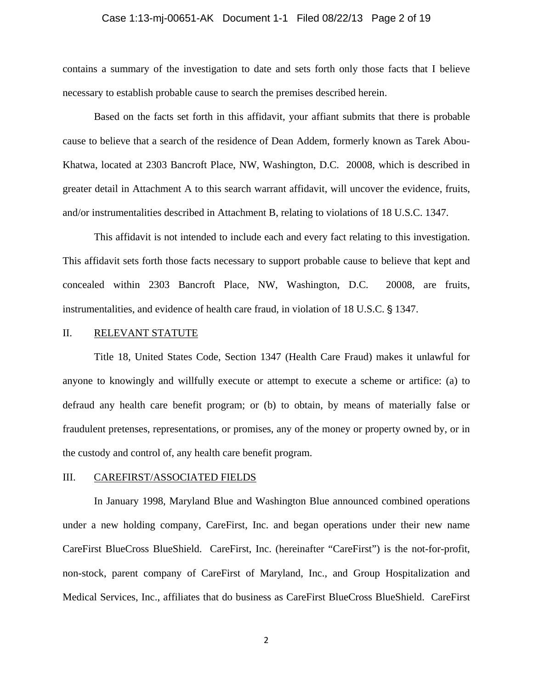# Case 1:13-mj-00651-AK Document 1-1 Filed 08/22/13 Page 2 of 19

contains a summary of the investigation to date and sets forth only those facts that I believe necessary to establish probable cause to search the premises described herein.

 Based on the facts set forth in this affidavit, your affiant submits that there is probable cause to believe that a search of the residence of Dean Addem, formerly known as Tarek Abou-Khatwa, located at 2303 Bancroft Place, NW, Washington, D.C. 20008, which is described in greater detail in Attachment A to this search warrant affidavit, will uncover the evidence, fruits, and/or instrumentalities described in Attachment B, relating to violations of 18 U.S.C. 1347.

 This affidavit is not intended to include each and every fact relating to this investigation. This affidavit sets forth those facts necessary to support probable cause to believe that kept and concealed within 2303 Bancroft Place, NW, Washington, D.C. 20008, are fruits, instrumentalities, and evidence of health care fraud, in violation of 18 U.S.C. § 1347.

## II. RELEVANT STATUTE

 Title 18, United States Code, Section 1347 (Health Care Fraud) makes it unlawful for anyone to knowingly and willfully execute or attempt to execute a scheme or artifice: (a) to defraud any health care benefit program; or (b) to obtain, by means of materially false or fraudulent pretenses, representations, or promises, any of the money or property owned by, or in the custody and control of, any health care benefit program.

## III. CAREFIRST/ASSOCIATED FIELDS

 In January 1998, Maryland Blue and Washington Blue announced combined operations under a new holding company, CareFirst, Inc. and began operations under their new name CareFirst BlueCross BlueShield. CareFirst, Inc. (hereinafter "CareFirst") is the not-for-profit, non-stock, parent company of CareFirst of Maryland, Inc., and Group Hospitalization and Medical Services, Inc., affiliates that do business as CareFirst BlueCross BlueShield. CareFirst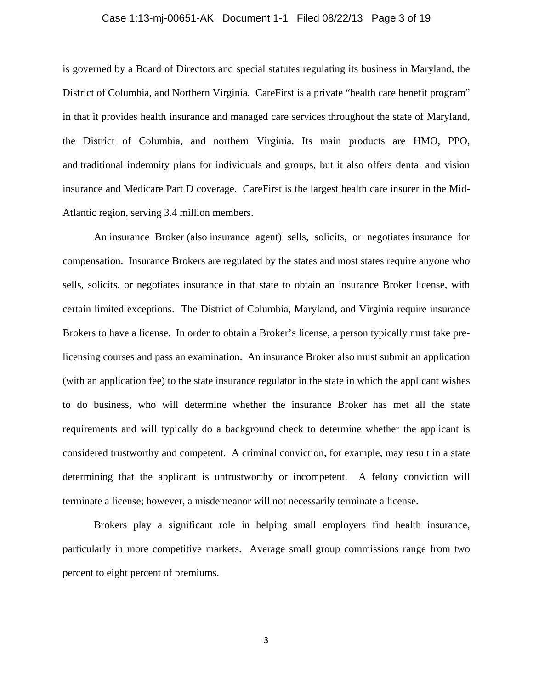# Case 1:13-mj-00651-AK Document 1-1 Filed 08/22/13 Page 3 of 19

is governed by a Board of Directors and special statutes regulating its business in Maryland, the District of Columbia, and Northern Virginia. CareFirst is a private "health care benefit program" in that it provides health insurance and managed care services throughout the state of Maryland, the District of Columbia, and northern Virginia. Its main products are HMO, PPO, and traditional indemnity plans for individuals and groups, but it also offers dental and vision insurance and Medicare Part D coverage. CareFirst is the largest health care insurer in the Mid-Atlantic region, serving 3.4 million members.

 An insurance Broker (also insurance agent) sells, solicits, or negotiates insurance for compensation. Insurance Brokers are regulated by the states and most states require anyone who sells, solicits, or negotiates insurance in that state to obtain an insurance Broker license, with certain limited exceptions. The District of Columbia, Maryland, and Virginia require insurance Brokers to have a license. In order to obtain a Broker's license, a person typically must take prelicensing courses and pass an examination. An insurance Broker also must submit an application (with an application fee) to the state insurance regulator in the state in which the applicant wishes to do business, who will determine whether the insurance Broker has met all the state requirements and will typically do a background check to determine whether the applicant is considered trustworthy and competent. A criminal conviction, for example, may result in a state determining that the applicant is untrustworthy or incompetent. A felony conviction will terminate a license; however, a misdemeanor will not necessarily terminate a license.

 Brokers play a significant role in helping small employers find health insurance, particularly in more competitive markets. Average small group commissions range from two percent to eight percent of premiums.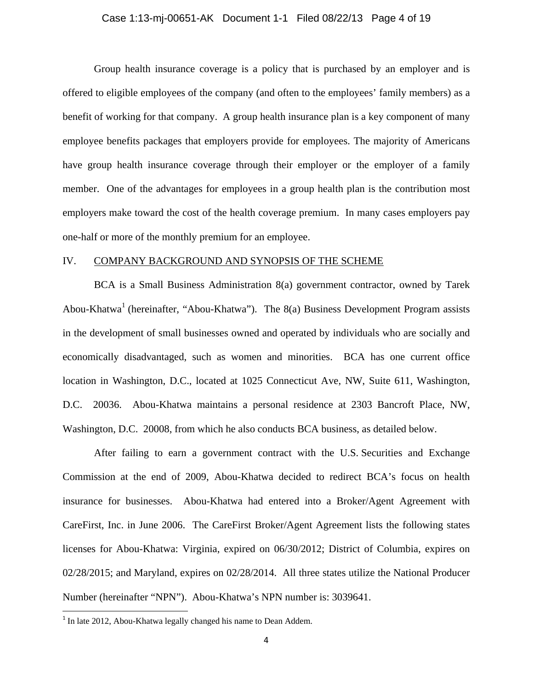## Case 1:13-mj-00651-AK Document 1-1 Filed 08/22/13 Page 4 of 19

 Group health insurance coverage is a policy that is purchased by an employer and is offered to eligible employees of the company (and often to the employees' family members) as a benefit of working for that company. A group health insurance plan is a key component of many employee benefits packages that employers provide for employees. The majority of Americans have group health insurance coverage through their employer or the employer of a family member. One of the advantages for employees in a group health plan is the contribution most employers make toward the cost of the health coverage premium. In many cases employers pay one-half or more of the monthly premium for an employee.

## IV. COMPANY BACKGROUND AND SYNOPSIS OF THE SCHEME

 BCA is a Small Business Administration 8(a) government contractor, owned by Tarek Abou-Khatwa<sup>1</sup> (hereinafter, "Abou-Khatwa"). The 8(a) Business Development Program assists in the development of small businesses owned and operated by individuals who are socially and economically disadvantaged, such as women and minorities. BCA has one current office location in Washington, D.C., located at 1025 Connecticut Ave, NW, Suite 611, Washington, D.C. 20036. Abou-Khatwa maintains a personal residence at 2303 Bancroft Place, NW, Washington, D.C. 20008, from which he also conducts BCA business, as detailed below.

 After failing to earn a government contract with the U.S. Securities and Exchange Commission at the end of 2009, Abou-Khatwa decided to redirect BCA's focus on health insurance for businesses. Abou-Khatwa had entered into a Broker/Agent Agreement with CareFirst, Inc. in June 2006. The CareFirst Broker/Agent Agreement lists the following states licenses for Abou-Khatwa: Virginia, expired on 06/30/2012; District of Columbia, expires on 02/28/2015; and Maryland, expires on 02/28/2014. All three states utilize the National Producer Number (hereinafter "NPN"). Abou-Khatwa's NPN number is: 3039641.

 $1$  In late 2012, Abou-Khatwa legally changed his name to Dean Addem.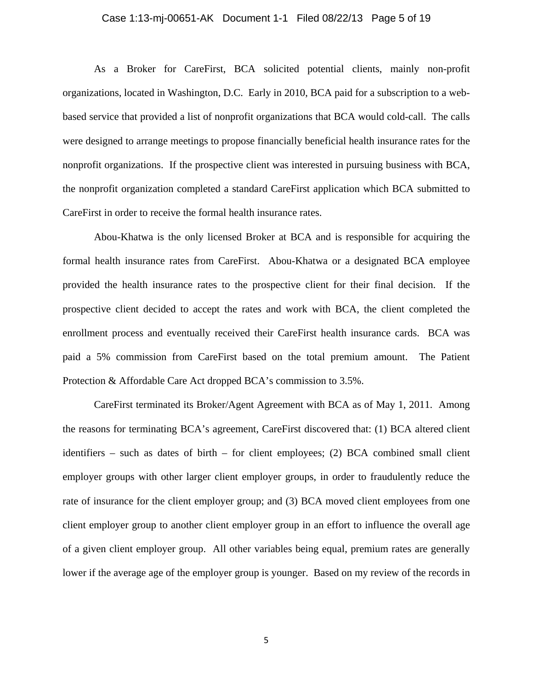# Case 1:13-mj-00651-AK Document 1-1 Filed 08/22/13 Page 5 of 19

 As a Broker for CareFirst, BCA solicited potential clients, mainly non-profit organizations, located in Washington, D.C. Early in 2010, BCA paid for a subscription to a webbased service that provided a list of nonprofit organizations that BCA would cold-call. The calls were designed to arrange meetings to propose financially beneficial health insurance rates for the nonprofit organizations. If the prospective client was interested in pursuing business with BCA, the nonprofit organization completed a standard CareFirst application which BCA submitted to CareFirst in order to receive the formal health insurance rates.

 Abou-Khatwa is the only licensed Broker at BCA and is responsible for acquiring the formal health insurance rates from CareFirst. Abou-Khatwa or a designated BCA employee provided the health insurance rates to the prospective client for their final decision. If the prospective client decided to accept the rates and work with BCA, the client completed the enrollment process and eventually received their CareFirst health insurance cards. BCA was paid a 5% commission from CareFirst based on the total premium amount. The Patient Protection & Affordable Care Act dropped BCA's commission to 3.5%.

 CareFirst terminated its Broker/Agent Agreement with BCA as of May 1, 2011. Among the reasons for terminating BCA's agreement, CareFirst discovered that: (1) BCA altered client identifiers – such as dates of birth – for client employees; (2) BCA combined small client employer groups with other larger client employer groups, in order to fraudulently reduce the rate of insurance for the client employer group; and (3) BCA moved client employees from one client employer group to another client employer group in an effort to influence the overall age of a given client employer group. All other variables being equal, premium rates are generally lower if the average age of the employer group is younger. Based on my review of the records in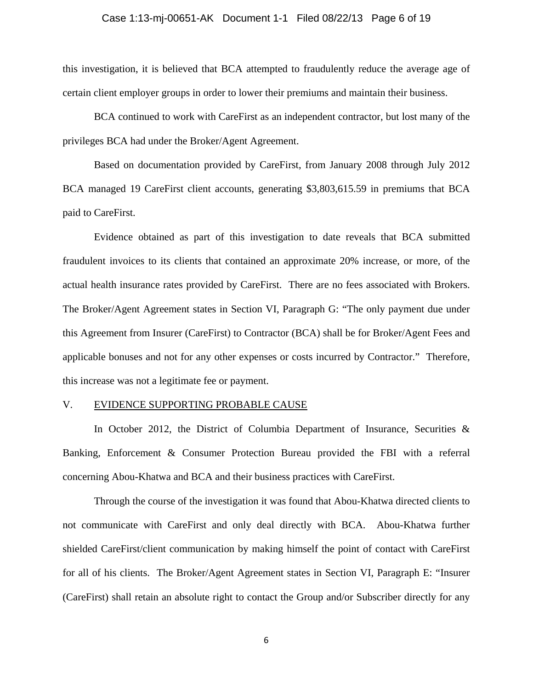### Case 1:13-mj-00651-AK Document 1-1 Filed 08/22/13 Page 6 of 19

this investigation, it is believed that BCA attempted to fraudulently reduce the average age of certain client employer groups in order to lower their premiums and maintain their business.

 BCA continued to work with CareFirst as an independent contractor, but lost many of the privileges BCA had under the Broker/Agent Agreement.

 Based on documentation provided by CareFirst, from January 2008 through July 2012 BCA managed 19 CareFirst client accounts, generating \$3,803,615.59 in premiums that BCA paid to CareFirst.

 Evidence obtained as part of this investigation to date reveals that BCA submitted fraudulent invoices to its clients that contained an approximate 20% increase, or more, of the actual health insurance rates provided by CareFirst. There are no fees associated with Brokers. The Broker/Agent Agreement states in Section VI, Paragraph G: "The only payment due under this Agreement from Insurer (CareFirst) to Contractor (BCA) shall be for Broker/Agent Fees and applicable bonuses and not for any other expenses or costs incurred by Contractor." Therefore, this increase was not a legitimate fee or payment.

## V. EVIDENCE SUPPORTING PROBABLE CAUSE

In October 2012, the District of Columbia Department of Insurance, Securities  $\&$ Banking, Enforcement & Consumer Protection Bureau provided the FBI with a referral concerning Abou-Khatwa and BCA and their business practices with CareFirst.

Through the course of the investigation it was found that Abou-Khatwa directed clients to not communicate with CareFirst and only deal directly with BCA. Abou-Khatwa further shielded CareFirst/client communication by making himself the point of contact with CareFirst for all of his clients. The Broker/Agent Agreement states in Section VI, Paragraph E: "Insurer (CareFirst) shall retain an absolute right to contact the Group and/or Subscriber directly for any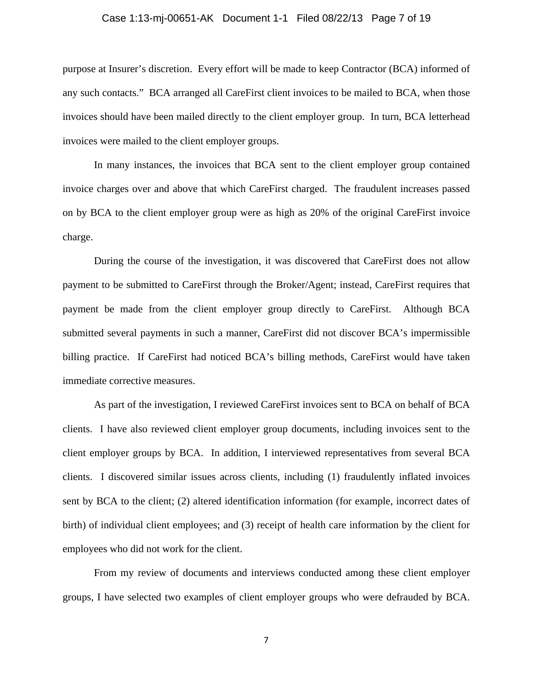### Case 1:13-mj-00651-AK Document 1-1 Filed 08/22/13 Page 7 of 19

purpose at Insurer's discretion. Every effort will be made to keep Contractor (BCA) informed of any such contacts." BCA arranged all CareFirst client invoices to be mailed to BCA, when those invoices should have been mailed directly to the client employer group. In turn, BCA letterhead invoices were mailed to the client employer groups.

In many instances, the invoices that BCA sent to the client employer group contained invoice charges over and above that which CareFirst charged. The fraudulent increases passed on by BCA to the client employer group were as high as 20% of the original CareFirst invoice charge.

During the course of the investigation, it was discovered that CareFirst does not allow payment to be submitted to CareFirst through the Broker/Agent; instead, CareFirst requires that payment be made from the client employer group directly to CareFirst. Although BCA submitted several payments in such a manner, CareFirst did not discover BCA's impermissible billing practice. If CareFirst had noticed BCA's billing methods, CareFirst would have taken immediate corrective measures.

 As part of the investigation, I reviewed CareFirst invoices sent to BCA on behalf of BCA clients. I have also reviewed client employer group documents, including invoices sent to the client employer groups by BCA. In addition, I interviewed representatives from several BCA clients. I discovered similar issues across clients, including (1) fraudulently inflated invoices sent by BCA to the client; (2) altered identification information (for example, incorrect dates of birth) of individual client employees; and (3) receipt of health care information by the client for employees who did not work for the client.

From my review of documents and interviews conducted among these client employer groups, I have selected two examples of client employer groups who were defrauded by BCA.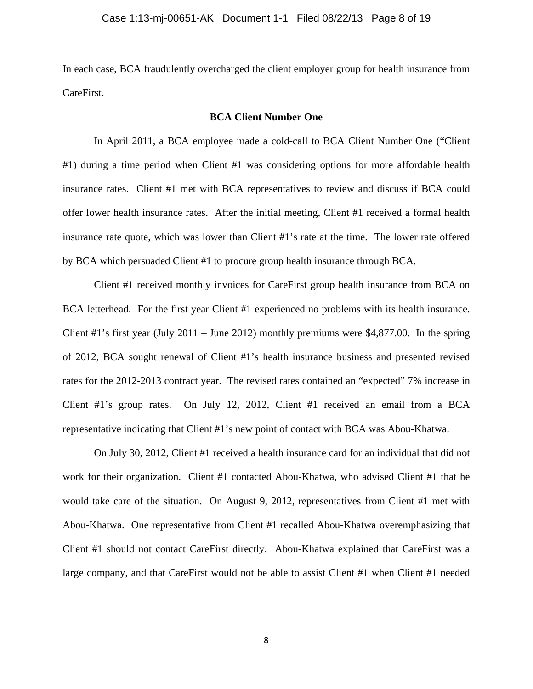In each case, BCA fraudulently overcharged the client employer group for health insurance from CareFirst.

## **BCA Client Number One**

 In April 2011, a BCA employee made a cold-call to BCA Client Number One ("Client #1) during a time period when Client #1 was considering options for more affordable health insurance rates. Client #1 met with BCA representatives to review and discuss if BCA could offer lower health insurance rates. After the initial meeting, Client #1 received a formal health insurance rate quote, which was lower than Client #1's rate at the time. The lower rate offered by BCA which persuaded Client #1 to procure group health insurance through BCA.

 Client #1 received monthly invoices for CareFirst group health insurance from BCA on BCA letterhead. For the first year Client #1 experienced no problems with its health insurance. Client #1's first year (July 2011 – June 2012) monthly premiums were \$4,877.00. In the spring of 2012, BCA sought renewal of Client #1's health insurance business and presented revised rates for the 2012-2013 contract year. The revised rates contained an "expected" 7% increase in Client #1's group rates. On July 12, 2012, Client #1 received an email from a BCA representative indicating that Client #1's new point of contact with BCA was Abou-Khatwa.

 On July 30, 2012, Client #1 received a health insurance card for an individual that did not work for their organization. Client #1 contacted Abou-Khatwa, who advised Client #1 that he would take care of the situation. On August 9, 2012, representatives from Client #1 met with Abou-Khatwa. One representative from Client #1 recalled Abou-Khatwa overemphasizing that Client #1 should not contact CareFirst directly. Abou-Khatwa explained that CareFirst was a large company, and that CareFirst would not be able to assist Client #1 when Client #1 needed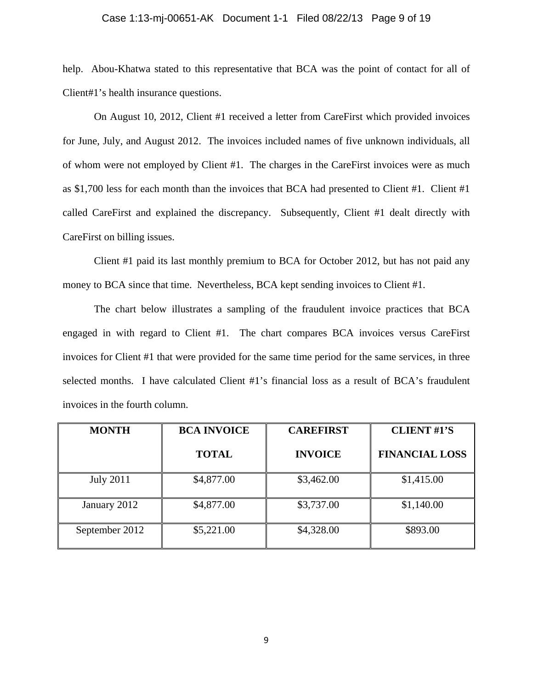## Case 1:13-mj-00651-AK Document 1-1 Filed 08/22/13 Page 9 of 19

help. Abou-Khatwa stated to this representative that BCA was the point of contact for all of Client#1's health insurance questions.

 On August 10, 2012, Client #1 received a letter from CareFirst which provided invoices for June, July, and August 2012. The invoices included names of five unknown individuals, all of whom were not employed by Client #1. The charges in the CareFirst invoices were as much as \$1,700 less for each month than the invoices that BCA had presented to Client #1. Client #1 called CareFirst and explained the discrepancy. Subsequently, Client #1 dealt directly with CareFirst on billing issues.

 Client #1 paid its last monthly premium to BCA for October 2012, but has not paid any money to BCA since that time. Nevertheless, BCA kept sending invoices to Client #1.

 The chart below illustrates a sampling of the fraudulent invoice practices that BCA engaged in with regard to Client #1. The chart compares BCA invoices versus CareFirst invoices for Client #1 that were provided for the same time period for the same services, in three selected months. I have calculated Client #1's financial loss as a result of BCA's fraudulent invoices in the fourth column.

| <b>MONTH</b>     | <b>BCA INVOICE</b> | <b>CAREFIRST</b> | <b>CLIENT #1'S</b>    |
|------------------|--------------------|------------------|-----------------------|
|                  | <b>TOTAL</b>       | <b>INVOICE</b>   | <b>FINANCIAL LOSS</b> |
| <b>July 2011</b> | \$4,877.00         | \$3,462.00       | \$1,415.00            |
| January 2012     | \$4,877.00         | \$3,737.00       | \$1,140.00            |
| September 2012   | \$5,221.00         | \$4,328.00       | \$893.00              |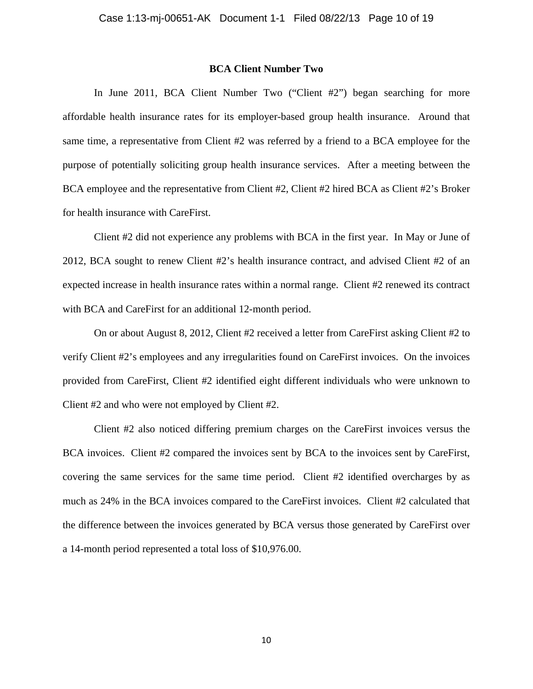## **BCA Client Number Two**

 In June 2011, BCA Client Number Two ("Client #2") began searching for more affordable health insurance rates for its employer-based group health insurance. Around that same time, a representative from Client #2 was referred by a friend to a BCA employee for the purpose of potentially soliciting group health insurance services. After a meeting between the BCA employee and the representative from Client #2, Client #2 hired BCA as Client #2's Broker for health insurance with CareFirst.

 Client #2 did not experience any problems with BCA in the first year. In May or June of 2012, BCA sought to renew Client #2's health insurance contract, and advised Client #2 of an expected increase in health insurance rates within a normal range. Client #2 renewed its contract with BCA and CareFirst for an additional 12-month period.

 On or about August 8, 2012, Client #2 received a letter from CareFirst asking Client #2 to verify Client #2's employees and any irregularities found on CareFirst invoices. On the invoices provided from CareFirst, Client #2 identified eight different individuals who were unknown to Client #2 and who were not employed by Client #2.

 Client #2 also noticed differing premium charges on the CareFirst invoices versus the BCA invoices. Client #2 compared the invoices sent by BCA to the invoices sent by CareFirst, covering the same services for the same time period. Client #2 identified overcharges by as much as 24% in the BCA invoices compared to the CareFirst invoices. Client #2 calculated that the difference between the invoices generated by BCA versus those generated by CareFirst over a 14-month period represented a total loss of \$10,976.00.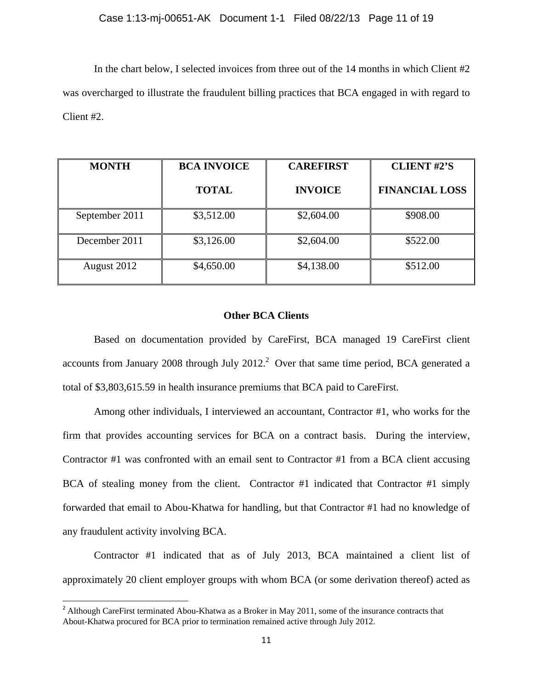In the chart below, I selected invoices from three out of the 14 months in which Client #2 was overcharged to illustrate the fraudulent billing practices that BCA engaged in with regard to Client #2.

| <b>MONTH</b>   | <b>BCA INVOICE</b> | <b>CAREFIRST</b> | <b>CLIENT #2'S</b>    |
|----------------|--------------------|------------------|-----------------------|
|                | <b>TOTAL</b>       | <b>INVOICE</b>   | <b>FINANCIAL LOSS</b> |
| September 2011 | \$3,512.00         | \$2,604.00       | \$908.00              |
| December 2011  | \$3,126.00         | \$2,604.00       | \$522.00              |
| August 2012    | \$4,650.00         | \$4,138.00       | \$512.00              |

# **Other BCA Clients**

 Based on documentation provided by CareFirst, BCA managed 19 CareFirst client accounts from January 2008 through July 2012.<sup>2</sup> Over that same time period, BCA generated a total of \$3,803,615.59 in health insurance premiums that BCA paid to CareFirst.

 Among other individuals, I interviewed an accountant, Contractor #1, who works for the firm that provides accounting services for BCA on a contract basis. During the interview, Contractor #1 was confronted with an email sent to Contractor #1 from a BCA client accusing BCA of stealing money from the client. Contractor #1 indicated that Contractor #1 simply forwarded that email to Abou-Khatwa for handling, but that Contractor #1 had no knowledge of any fraudulent activity involving BCA.

 Contractor #1 indicated that as of July 2013, BCA maintained a client list of approximately 20 client employer groups with whom BCA (or some derivation thereof) acted as

 $2$  Although CareFirst terminated Abou-Khatwa as a Broker in May 2011, some of the insurance contracts that About-Khatwa procured for BCA prior to termination remained active through July 2012.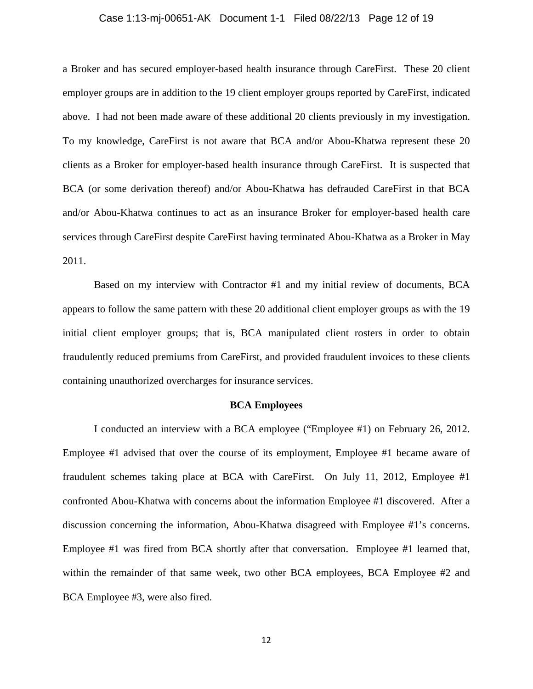### Case 1:13-mj-00651-AK Document 1-1 Filed 08/22/13 Page 12 of 19

a Broker and has secured employer-based health insurance through CareFirst. These 20 client employer groups are in addition to the 19 client employer groups reported by CareFirst, indicated above. I had not been made aware of these additional 20 clients previously in my investigation. To my knowledge, CareFirst is not aware that BCA and/or Abou-Khatwa represent these 20 clients as a Broker for employer-based health insurance through CareFirst. It is suspected that BCA (or some derivation thereof) and/or Abou-Khatwa has defrauded CareFirst in that BCA and/or Abou-Khatwa continues to act as an insurance Broker for employer-based health care services through CareFirst despite CareFirst having terminated Abou-Khatwa as a Broker in May 2011.

 Based on my interview with Contractor #1 and my initial review of documents, BCA appears to follow the same pattern with these 20 additional client employer groups as with the 19 initial client employer groups; that is, BCA manipulated client rosters in order to obtain fraudulently reduced premiums from CareFirst, and provided fraudulent invoices to these clients containing unauthorized overcharges for insurance services.

## **BCA Employees**

 I conducted an interview with a BCA employee ("Employee #1) on February 26, 2012. Employee #1 advised that over the course of its employment, Employee #1 became aware of fraudulent schemes taking place at BCA with CareFirst. On July 11, 2012, Employee #1 confronted Abou-Khatwa with concerns about the information Employee #1 discovered. After a discussion concerning the information, Abou-Khatwa disagreed with Employee #1's concerns. Employee #1 was fired from BCA shortly after that conversation. Employee #1 learned that, within the remainder of that same week, two other BCA employees, BCA Employee #2 and BCA Employee #3, were also fired.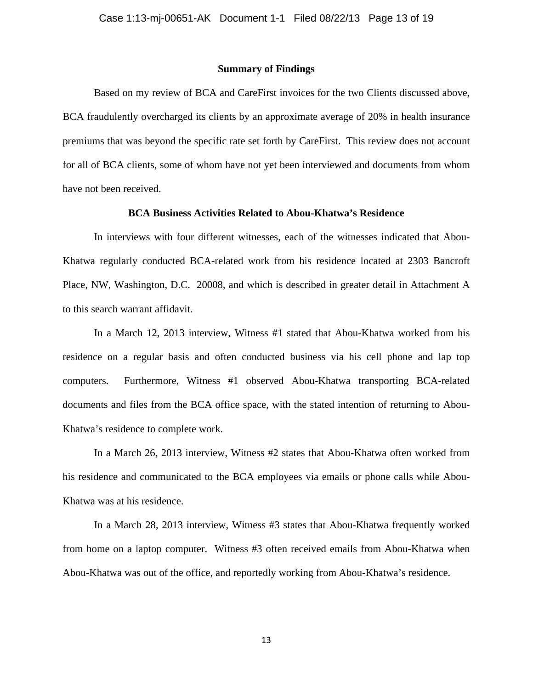### **Summary of Findings**

 Based on my review of BCA and CareFirst invoices for the two Clients discussed above, BCA fraudulently overcharged its clients by an approximate average of 20% in health insurance premiums that was beyond the specific rate set forth by CareFirst. This review does not account for all of BCA clients, some of whom have not yet been interviewed and documents from whom have not been received.

## **BCA Business Activities Related to Abou-Khatwa's Residence**

 In interviews with four different witnesses, each of the witnesses indicated that Abou-Khatwa regularly conducted BCA-related work from his residence located at 2303 Bancroft Place, NW, Washington, D.C. 20008, and which is described in greater detail in Attachment A to this search warrant affidavit.

 In a March 12, 2013 interview, Witness #1 stated that Abou-Khatwa worked from his residence on a regular basis and often conducted business via his cell phone and lap top computers. Furthermore, Witness #1 observed Abou-Khatwa transporting BCA-related documents and files from the BCA office space, with the stated intention of returning to Abou-Khatwa's residence to complete work.

 In a March 26, 2013 interview, Witness #2 states that Abou-Khatwa often worked from his residence and communicated to the BCA employees via emails or phone calls while Abou-Khatwa was at his residence.

 In a March 28, 2013 interview, Witness #3 states that Abou-Khatwa frequently worked from home on a laptop computer. Witness #3 often received emails from Abou-Khatwa when Abou-Khatwa was out of the office, and reportedly working from Abou-Khatwa's residence.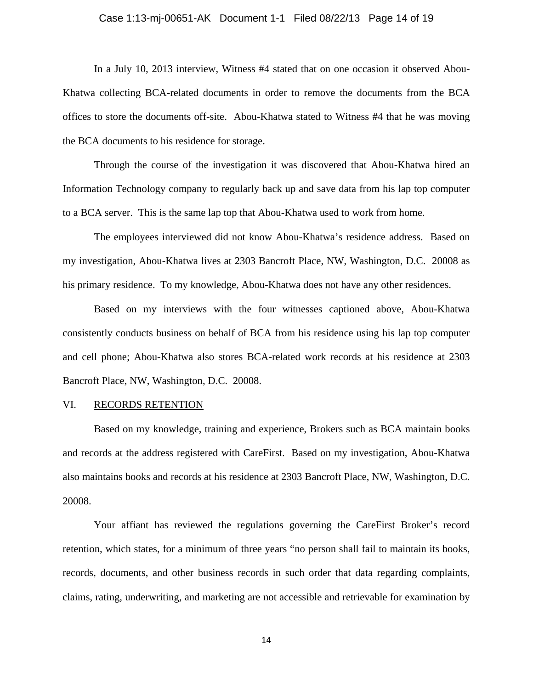## Case 1:13-mj-00651-AK Document 1-1 Filed 08/22/13 Page 14 of 19

 In a July 10, 2013 interview, Witness #4 stated that on one occasion it observed Abou-Khatwa collecting BCA-related documents in order to remove the documents from the BCA offices to store the documents off-site. Abou-Khatwa stated to Witness #4 that he was moving the BCA documents to his residence for storage.

 Through the course of the investigation it was discovered that Abou-Khatwa hired an Information Technology company to regularly back up and save data from his lap top computer to a BCA server. This is the same lap top that Abou-Khatwa used to work from home.

 The employees interviewed did not know Abou-Khatwa's residence address. Based on my investigation, Abou-Khatwa lives at 2303 Bancroft Place, NW, Washington, D.C. 20008 as his primary residence. To my knowledge, Abou-Khatwa does not have any other residences.

 Based on my interviews with the four witnesses captioned above, Abou-Khatwa consistently conducts business on behalf of BCA from his residence using his lap top computer and cell phone; Abou-Khatwa also stores BCA-related work records at his residence at 2303 Bancroft Place, NW, Washington, D.C. 20008.

## VI. RECORDS RETENTION

Based on my knowledge, training and experience, Brokers such as BCA maintain books and records at the address registered with CareFirst. Based on my investigation, Abou-Khatwa also maintains books and records at his residence at 2303 Bancroft Place, NW, Washington, D.C. 20008.

Your affiant has reviewed the regulations governing the CareFirst Broker's record retention, which states, for a minimum of three years "no person shall fail to maintain its books, records, documents, and other business records in such order that data regarding complaints, claims, rating, underwriting, and marketing are not accessible and retrievable for examination by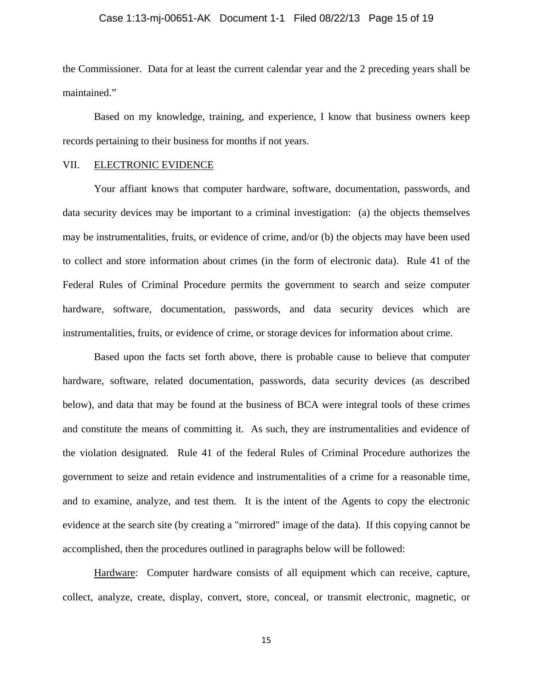### Case 1:13-mj-00651-AK Document 1-1 Filed 08/22/13 Page 15 of 19

the Commissioner. Data for at least the current calendar year and the 2 preceding years shall be maintained."

Based on my knowledge, training, and experience, I know that business owners keep records pertaining to their business for months if not years.

# VII. ELECTRONIC EVIDENCE

 Your affiant knows that computer hardware, software, documentation, passwords, and data security devices may be important to a criminal investigation: (a) the objects themselves may be instrumentalities, fruits, or evidence of crime, and/or (b) the objects may have been used to collect and store information about crimes (in the form of electronic data). Rule 41 of the Federal Rules of Criminal Procedure permits the government to search and seize computer hardware, software, documentation, passwords, and data security devices which are instrumentalities, fruits, or evidence of crime, or storage devices for information about crime.

Based upon the facts set forth above, there is probable cause to believe that computer hardware, software, related documentation, passwords, data security devices (as described below), and data that may be found at the business of BCA were integral tools of these crimes and constitute the means of committing it. As such, they are instrumentalities and evidence of the violation designated. Rule 41 of the federal Rules of Criminal Procedure authorizes the government to seize and retain evidence and instrumentalities of a crime for a reasonable time, and to examine, analyze, and test them. It is the intent of the Agents to copy the electronic evidence at the search site (by creating a "mirrored" image of the data). If this copying cannot be accomplished, then the procedures outlined in paragraphs below will be followed:

Hardware: Computer hardware consists of all equipment which can receive, capture, collect, analyze, create, display, convert, store, conceal, or transmit electronic, magnetic, or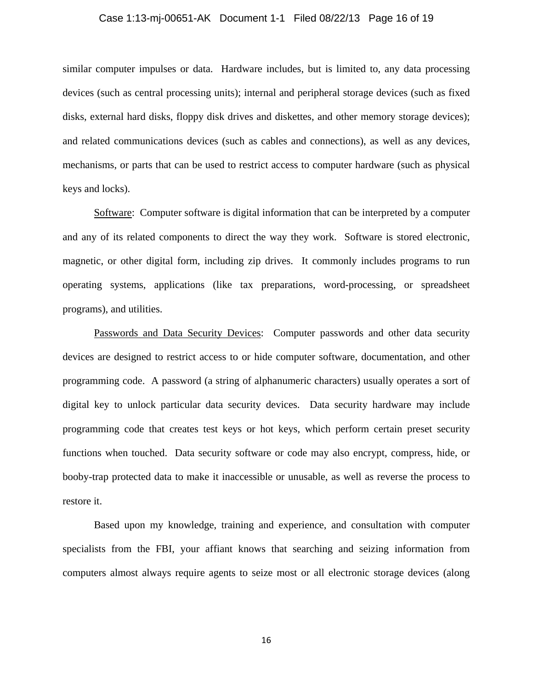### Case 1:13-mj-00651-AK Document 1-1 Filed 08/22/13 Page 16 of 19

similar computer impulses or data. Hardware includes, but is limited to, any data processing devices (such as central processing units); internal and peripheral storage devices (such as fixed disks, external hard disks, floppy disk drives and diskettes, and other memory storage devices); and related communications devices (such as cables and connections), as well as any devices, mechanisms, or parts that can be used to restrict access to computer hardware (such as physical keys and locks).

Software: Computer software is digital information that can be interpreted by a computer and any of its related components to direct the way they work. Software is stored electronic, magnetic, or other digital form, including zip drives. It commonly includes programs to run operating systems, applications (like tax preparations, word-processing, or spreadsheet programs), and utilities.

Passwords and Data Security Devices: Computer passwords and other data security devices are designed to restrict access to or hide computer software, documentation, and other programming code. A password (a string of alphanumeric characters) usually operates a sort of digital key to unlock particular data security devices. Data security hardware may include programming code that creates test keys or hot keys, which perform certain preset security functions when touched. Data security software or code may also encrypt, compress, hide, or booby-trap protected data to make it inaccessible or unusable, as well as reverse the process to restore it.

Based upon my knowledge, training and experience, and consultation with computer specialists from the FBI, your affiant knows that searching and seizing information from computers almost always require agents to seize most or all electronic storage devices (along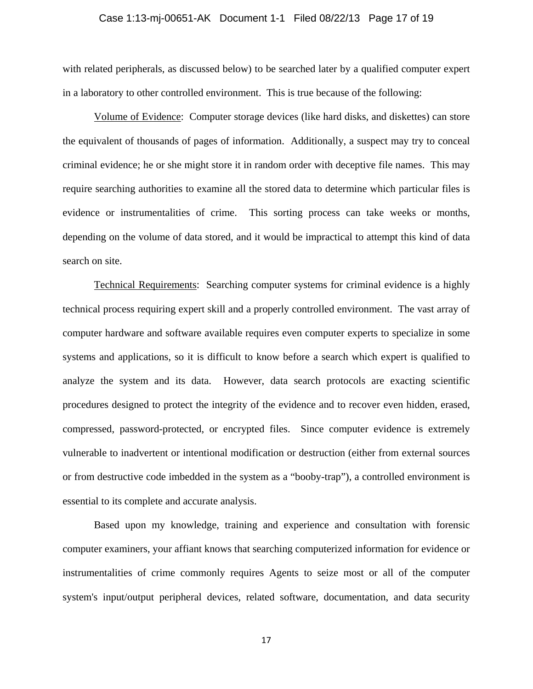### Case 1:13-mj-00651-AK Document 1-1 Filed 08/22/13 Page 17 of 19

with related peripherals, as discussed below) to be searched later by a qualified computer expert in a laboratory to other controlled environment. This is true because of the following:

Volume of Evidence: Computer storage devices (like hard disks, and diskettes) can store the equivalent of thousands of pages of information. Additionally, a suspect may try to conceal criminal evidence; he or she might store it in random order with deceptive file names. This may require searching authorities to examine all the stored data to determine which particular files is evidence or instrumentalities of crime. This sorting process can take weeks or months, depending on the volume of data stored, and it would be impractical to attempt this kind of data search on site.

Technical Requirements: Searching computer systems for criminal evidence is a highly technical process requiring expert skill and a properly controlled environment. The vast array of computer hardware and software available requires even computer experts to specialize in some systems and applications, so it is difficult to know before a search which expert is qualified to analyze the system and its data. However, data search protocols are exacting scientific procedures designed to protect the integrity of the evidence and to recover even hidden, erased, compressed, password-protected, or encrypted files. Since computer evidence is extremely vulnerable to inadvertent or intentional modification or destruction (either from external sources or from destructive code imbedded in the system as a "booby-trap"), a controlled environment is essential to its complete and accurate analysis.

Based upon my knowledge, training and experience and consultation with forensic computer examiners, your affiant knows that searching computerized information for evidence or instrumentalities of crime commonly requires Agents to seize most or all of the computer system's input/output peripheral devices, related software, documentation, and data security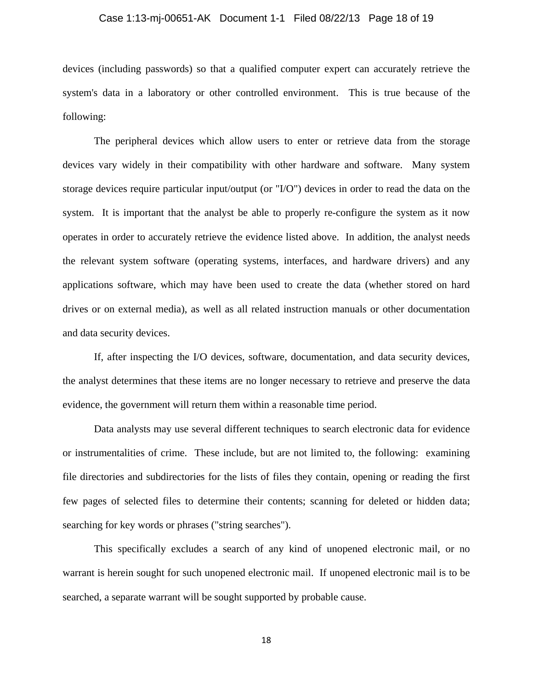### Case 1:13-mj-00651-AK Document 1-1 Filed 08/22/13 Page 18 of 19

devices (including passwords) so that a qualified computer expert can accurately retrieve the system's data in a laboratory or other controlled environment. This is true because of the following:

The peripheral devices which allow users to enter or retrieve data from the storage devices vary widely in their compatibility with other hardware and software. Many system storage devices require particular input/output (or "I/O") devices in order to read the data on the system. It is important that the analyst be able to properly re-configure the system as it now operates in order to accurately retrieve the evidence listed above. In addition, the analyst needs the relevant system software (operating systems, interfaces, and hardware drivers) and any applications software, which may have been used to create the data (whether stored on hard drives or on external media), as well as all related instruction manuals or other documentation and data security devices.

 If, after inspecting the I/O devices, software, documentation, and data security devices, the analyst determines that these items are no longer necessary to retrieve and preserve the data evidence, the government will return them within a reasonable time period.

 Data analysts may use several different techniques to search electronic data for evidence or instrumentalities of crime. These include, but are not limited to, the following: examining file directories and subdirectories for the lists of files they contain, opening or reading the first few pages of selected files to determine their contents; scanning for deleted or hidden data; searching for key words or phrases ("string searches").

This specifically excludes a search of any kind of unopened electronic mail, or no warrant is herein sought for such unopened electronic mail. If unopened electronic mail is to be searched, a separate warrant will be sought supported by probable cause.